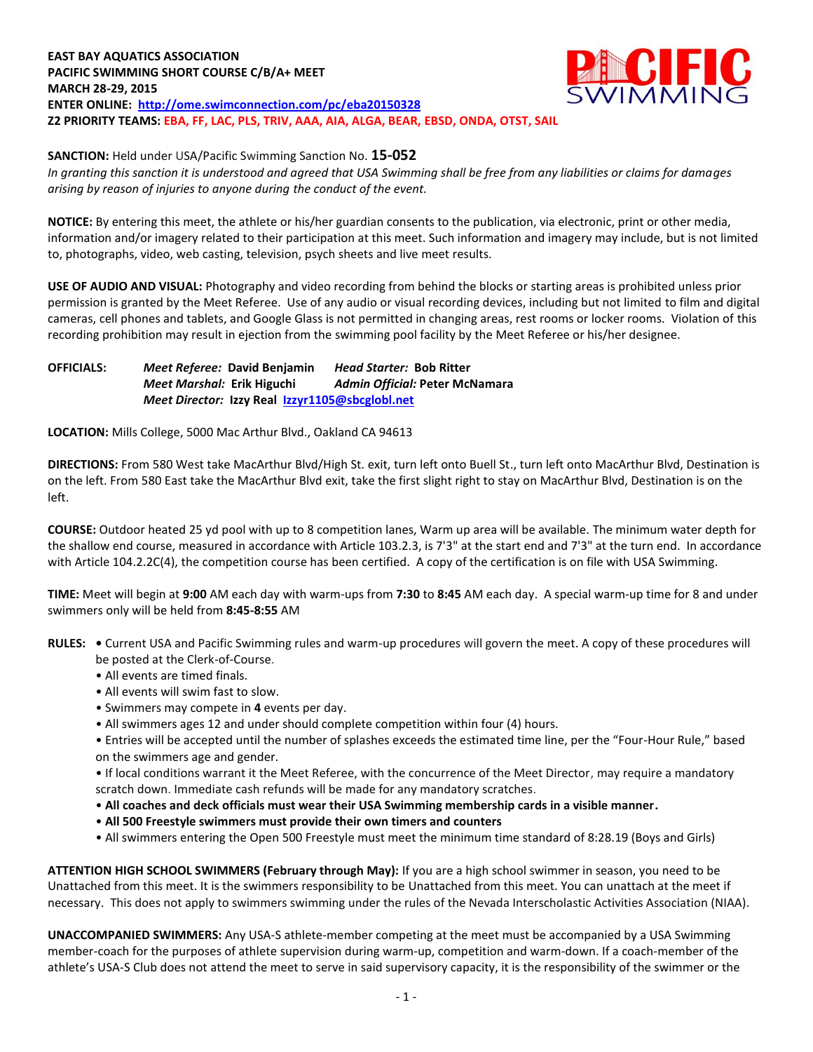## **EAST BAY AQUATICS ASSOCIATION PACIFIC SWIMMING SHORT COURSE C/B/A+ MEET MARCH 28-29, 2015 ENTER ONLINE: <http://ome.swimconnection.com/pc/eba20150328> Z2 PRIORITY TEAMS: EBA, FF, LAC, PLS, TRIV, AAA, AIA, ALGA, BEAR, EBSD, ONDA, OTST, SAIL**



**SANCTION:** Held under USA/Pacific Swimming Sanction No. **15-052**

*In granting this sanction it is understood and agreed that USA Swimming shall be free from any liabilities or claims for damages arising by reason of injuries to anyone during the conduct of the event.*

**NOTICE:** By entering this meet, the athlete or his/her guardian consents to the publication, via electronic, print or other media, information and/or imagery related to their participation at this meet. Such information and imagery may include, but is not limited to, photographs, video, web casting, television, psych sheets and live meet results.

**USE OF AUDIO AND VISUAL:** Photography and video recording from behind the blocks or starting areas is prohibited unless prior permission is granted by the Meet Referee. Use of any audio or visual recording devices, including but not limited to film and digital cameras, cell phones and tablets, and Google Glass is not permitted in changing areas, rest rooms or locker rooms. Violation of this recording prohibition may result in ejection from the swimming pool facility by the Meet Referee or his/her designee.

## **OFFICIALS:** *Meet Referee:* **David Benjamin** *Head Starter:* **Bob Ritter** *Meet Marshal:* **Erik Higuchi** *Admin Official:* **Peter McNamara** *Meet Director:* **Izzy Real [Izzyr1105@sbcglobl.net](mailto:Izzyr1105@sbcglobl.net)**

**LOCATION:** Mills College, 5000 Mac Arthur Blvd., Oakland CA 94613

**DIRECTIONS:** From 580 West take MacArthur Blvd/High St. exit, turn left onto Buell St., turn left onto MacArthur Blvd, Destination is on the left. From 580 East take the MacArthur Blvd exit, take the first slight right to stay on MacArthur Blvd, Destination is on the left.

**COURSE:** Outdoor heated 25 yd pool with up to 8 competition lanes, Warm up area will be available. The minimum water depth for the shallow end course, measured in accordance with Article 103.2.3, is 7'3" at the start end and 7'3" at the turn end. In accordance with Article 104.2.2C(4), the competition course has been certified. A copy of the certification is on file with USA Swimming.

**TIME:** Meet will begin at **9:00** AM each day with warm-ups from **7:30** to **8:45** AM each day. A special warm-up time for 8 and under swimmers only will be held from **8:45-8:55** AM

- **RULES:** Current USA and Pacific Swimming rules and warm-up procedures will govern the meet. A copy of these procedures will be posted at the Clerk-of-Course.
	- All events are timed finals.
	- All events will swim fast to slow.
	- Swimmers may compete in **4** events per day.
	- All swimmers ages 12 and under should complete competition within four (4) hours.

• Entries will be accepted until the number of splashes exceeds the estimated time line, per the "Four-Hour Rule," based on the swimmers age and gender.

• If local conditions warrant it the Meet Referee, with the concurrence of the Meet Director, may require a mandatory scratch down. Immediate cash refunds will be made for any mandatory scratches.

- **All coaches and deck officials must wear their USA Swimming membership cards in a visible manner.**
- **All 500 Freestyle swimmers must provide their own timers and counters**
- All swimmers entering the Open 500 Freestyle must meet the minimum time standard of 8:28.19 (Boys and Girls)

**ATTENTION HIGH SCHOOL SWIMMERS (February through May):** If you are a high school swimmer in season, you need to be Unattached from this meet. It is the swimmers responsibility to be Unattached from this meet. You can unattach at the meet if necessary. This does not apply to swimmers swimming under the rules of the Nevada Interscholastic Activities Association (NIAA).

**UNACCOMPANIED SWIMMERS:** Any USA-S athlete-member competing at the meet must be accompanied by a USA Swimming member-coach for the purposes of athlete supervision during warm-up, competition and warm-down. If a coach-member of the athlete's USA-S Club does not attend the meet to serve in said supervisory capacity, it is the responsibility of the swimmer or the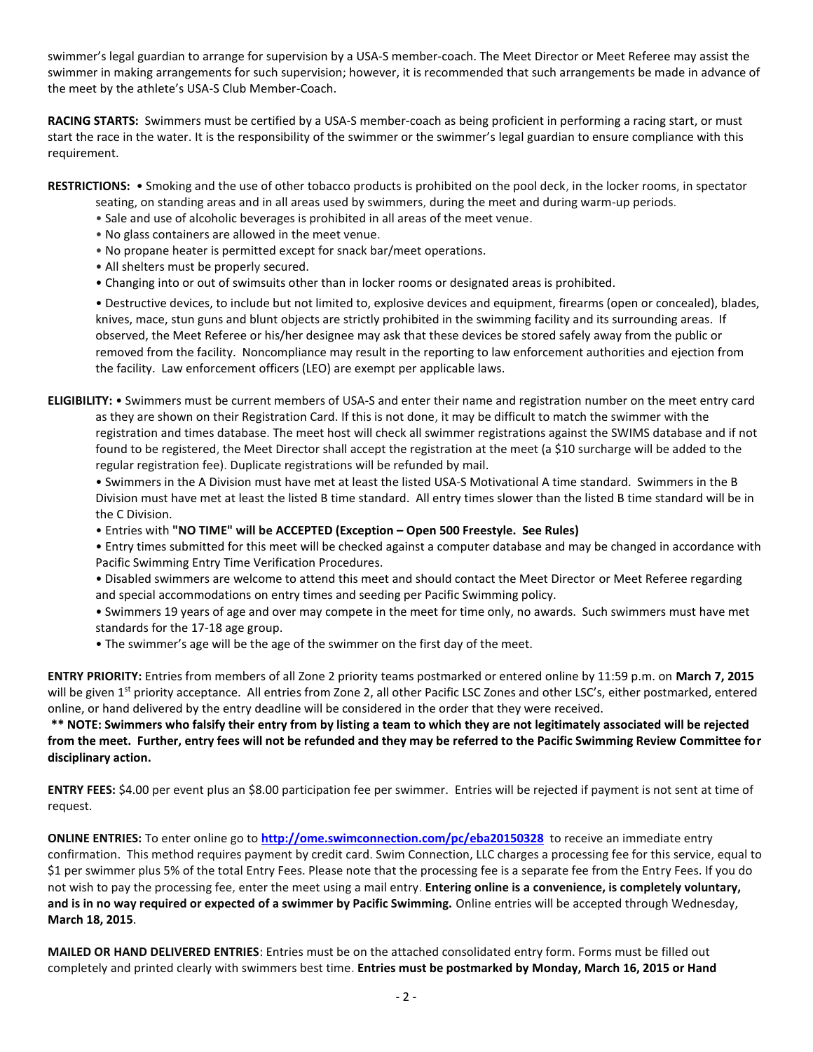swimmer's legal guardian to arrange for supervision by a USA-S member-coach. The Meet Director or Meet Referee may assist the swimmer in making arrangements for such supervision; however, it is recommended that such arrangements be made in advance of the meet by the athlete's USA-S Club Member-Coach.

**RACING STARTS:** Swimmers must be certified by a USA-S member-coach as being proficient in performing a racing start, or must start the race in the water. It is the responsibility of the swimmer or the swimmer's legal guardian to ensure compliance with this requirement.

**RESTRICTIONS:** • Smoking and the use of other tobacco products is prohibited on the pool deck, in the locker rooms, in spectator

- seating, on standing areas and in all areas used by swimmers, during the meet and during warm-up periods.
- Sale and use of alcoholic beverages is prohibited in all areas of the meet venue.
- No glass containers are allowed in the meet venue.
- No propane heater is permitted except for snack bar/meet operations.
- All shelters must be properly secured.
- Changing into or out of swimsuits other than in locker rooms or designated areas is prohibited.

• Destructive devices, to include but not limited to, explosive devices and equipment, firearms (open or concealed), blades, knives, mace, stun guns and blunt objects are strictly prohibited in the swimming facility and its surrounding areas. If observed, the Meet Referee or his/her designee may ask that these devices be stored safely away from the public or removed from the facility. Noncompliance may result in the reporting to law enforcement authorities and ejection from the facility. Law enforcement officers (LEO) are exempt per applicable laws.

**ELIGIBILITY:** • Swimmers must be current members of USA-S and enter their name and registration number on the meet entry card as they are shown on their Registration Card. If this is not done, it may be difficult to match the swimmer with the registration and times database. The meet host will check all swimmer registrations against the SWIMS database and if not found to be registered, the Meet Director shall accept the registration at the meet (a \$10 surcharge will be added to the regular registration fee). Duplicate registrations will be refunded by mail.

• Swimmers in the A Division must have met at least the listed USA-S Motivational A time standard. Swimmers in the B Division must have met at least the listed B time standard. All entry times slower than the listed B time standard will be in the C Division.

• Entries with **"NO TIME" will be ACCEPTED (Exception – Open 500 Freestyle. See Rules)**

• Entry times submitted for this meet will be checked against a computer database and may be changed in accordance with Pacific Swimming Entry Time Verification Procedures.

- Disabled swimmers are welcome to attend this meet and should contact the Meet Director or Meet Referee regarding and special accommodations on entry times and seeding per Pacific Swimming policy.
- Swimmers 19 years of age and over may compete in the meet for time only, no awards. Such swimmers must have met standards for the 17-18 age group.
- The swimmer's age will be the age of the swimmer on the first day of the meet.

**ENTRY PRIORITY:** Entries from members of all Zone 2 priority teams postmarked or entered online by 11:59 p.m. on **March 7, 2015** will be given 1<sup>st</sup> priority acceptance. All entries from Zone 2, all other Pacific LSC Zones and other LSC's, either postmarked, entered online, or hand delivered by the entry deadline will be considered in the order that they were received.

**\*\* NOTE: Swimmers who falsify their entry from by listing a team to which they are not legitimately associated will be rejected from the meet. Further, entry fees will not be refunded and they may be referred to the Pacific Swimming Review Committee for disciplinary action.**

**ENTRY FEES:** \$4.00 per event plus an \$8.00 participation fee per swimmer. Entries will be rejected if payment is not sent at time of request.

**ONLINE ENTRIES:** To enter online go to **<http://ome.swimconnection.com/pc/eba20150328>** to receive an immediate entry confirmation. This method requires payment by credit card. Swim Connection, LLC charges a processing fee for this service, equal to \$1 per swimmer plus 5% of the total Entry Fees. Please note that the processing fee is a separate fee from the Entry Fees. If you do not wish to pay the processing fee, enter the meet using a mail entry. **Entering online is a convenience, is completely voluntary, and is in no way required or expected of a swimmer by Pacific Swimming.** Online entries will be accepted through Wednesday, **March 18, 2015**.

**MAILED OR HAND DELIVERED ENTRIES**: Entries must be on the attached consolidated entry form. Forms must be filled out completely and printed clearly with swimmers best time. **Entries must be postmarked by Monday, March 16, 2015 or Hand**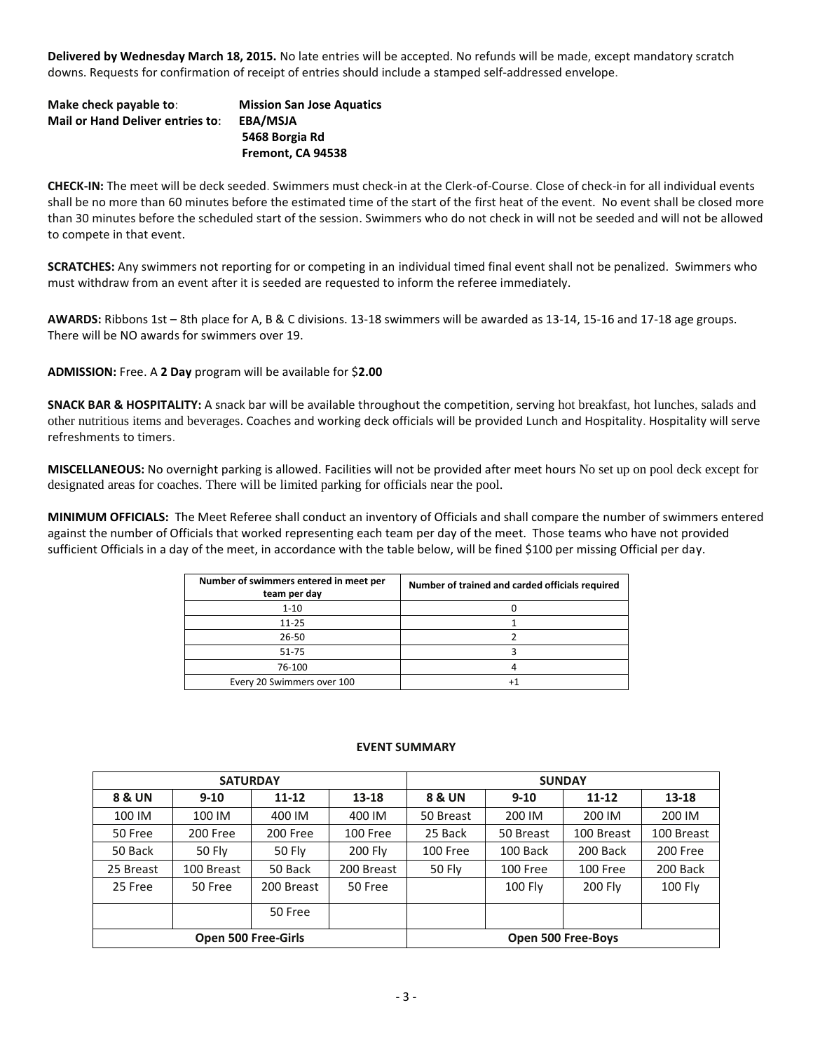**Delivered by Wednesday March 18, 2015.** No late entries will be accepted. No refunds will be made, except mandatory scratch downs. Requests for confirmation of receipt of entries should include a stamped self-addressed envelope.

| Make check payable to:                  | <b>Mission San Jose Aquatics</b> |
|-----------------------------------------|----------------------------------|
| <b>Mail or Hand Deliver entries to:</b> | EBA/MSJA                         |
|                                         | 5468 Borgia Rd                   |
|                                         | Fremont, CA 94538                |

**CHECK-IN:** The meet will be deck seeded. Swimmers must check-in at the Clerk-of-Course. Close of check-in for all individual events shall be no more than 60 minutes before the estimated time of the start of the first heat of the event. No event shall be closed more than 30 minutes before the scheduled start of the session. Swimmers who do not check in will not be seeded and will not be allowed to compete in that event.

**SCRATCHES:** Any swimmers not reporting for or competing in an individual timed final event shall not be penalized. Swimmers who must withdraw from an event after it is seeded are requested to inform the referee immediately.

**AWARDS:** Ribbons 1st – 8th place for A, B & C divisions. 13-18 swimmers will be awarded as 13-14, 15-16 and 17-18 age groups. There will be NO awards for swimmers over 19.

**ADMISSION:** Free. A **2 Day** program will be available for \$**2.00**

**SNACK BAR & HOSPITALITY:** A snack bar will be available throughout the competition, serving hot breakfast, hot lunches, salads and other nutritious items and beverages. Coaches and working deck officials will be provided Lunch and Hospitality. Hospitality will serve refreshments to timers.

**MISCELLANEOUS:** No overnight parking is allowed. Facilities will not be provided after meet hours No set up on pool deck except for designated areas for coaches. There will be limited parking for officials near the pool.

**MINIMUM OFFICIALS:** The Meet Referee shall conduct an inventory of Officials and shall compare the number of swimmers entered against the number of Officials that worked representing each team per day of the meet. Those teams who have not provided sufficient Officials in a day of the meet, in accordance with the table below, will be fined \$100 per missing Official per day.

| Number of swimmers entered in meet per<br>team per day | Number of trained and carded officials required |
|--------------------------------------------------------|-------------------------------------------------|
| $1 - 10$                                               |                                                 |
| $11 - 25$                                              |                                                 |
| $26 - 50$                                              |                                                 |
| 51-75                                                  |                                                 |
| 76-100                                                 |                                                 |
| Every 20 Swimmers over 100                             |                                                 |

## **EVENT SUMMARY**

| <b>SATURDAY</b>   |            |                            |            | <b>SUNDAY</b>        |                |            |                |  |  |  |
|-------------------|------------|----------------------------|------------|----------------------|----------------|------------|----------------|--|--|--|
| <b>8 &amp; UN</b> | $9 - 10$   | 11-12                      | $13 - 18$  | <b>8 &amp; UN</b>    | $9 - 10$       | $11 - 12$  | 13-18          |  |  |  |
| 100 IM            | 100 IM     | 400 IM                     | 400 IM     | 50 Breast            | 200 IM         | 200 IM     | 200 IM         |  |  |  |
| 50 Free           | 200 Free   | 200 Free                   | 100 Free   | 25 Back              | 50 Breast      | 100 Breast | 100 Breast     |  |  |  |
| 50 Back           | 50 Fly     | 50 Fly                     | 200 Fly    | 100 Free<br>100 Back |                | 200 Back   | 200 Free       |  |  |  |
| 25 Breast         | 100 Breast | 50 Back                    | 200 Breast | <b>50 Fly</b>        | 100 Free       |            | 200 Back       |  |  |  |
| 25 Free           | 50 Free    | 200 Breast                 | 50 Free    |                      | <b>100 Fly</b> | 200 Fly    | <b>100 Fly</b> |  |  |  |
|                   |            | 50 Free                    |            |                      |                |            |                |  |  |  |
|                   |            | <b>Open 500 Free-Girls</b> |            | Open 500 Free-Boys   |                |            |                |  |  |  |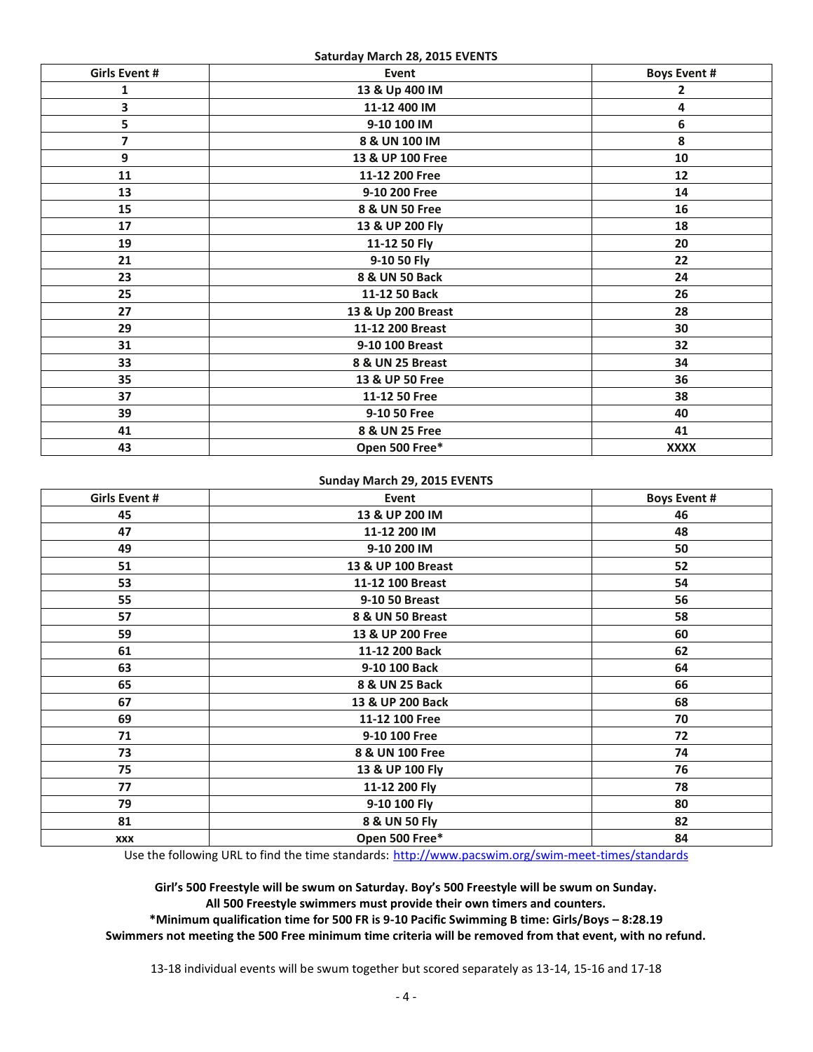**Saturday March 28, 2015 EVENTS**

| <b>Girls Event #</b>    | Event              | <b>Boys Event #</b> |
|-------------------------|--------------------|---------------------|
| 1                       | 13 & Up 400 IM     | 2                   |
| 3                       | 11-12 400 IM       | 4                   |
| 5                       | 9-10 100 IM        | 6                   |
| $\overline{\mathbf{z}}$ | 8 & UN 100 IM      | 8                   |
| $\overline{9}$          | 13 & UP 100 Free   | 10                  |
| 11                      | 11-12 200 Free     | 12                  |
| 13                      | 9-10 200 Free      | 14                  |
| 15                      | 8 & UN 50 Free     | 16                  |
| 17                      | 13 & UP 200 Fly    | 18                  |
| 19                      | 11-12 50 Fly       | 20                  |
| 21                      | 9-10 50 Fly        | 22                  |
| 23                      | 8 & UN 50 Back     | 24                  |
| 25                      | 11-12 50 Back      | 26                  |
| 27                      | 13 & Up 200 Breast | 28                  |
| 29                      | 11-12 200 Breast   | 30                  |
| 31                      | 9-10 100 Breast    | 32                  |
| 33                      | 8 & UN 25 Breast   | 34                  |
| 35                      | 13 & UP 50 Free    | 36                  |
| 37                      | 11-12 50 Free      | 38                  |
| 39                      | 9-10 50 Free       | 40                  |
| 41                      | 8 & UN 25 Free     | 41                  |
| 43                      | Open 500 Free*     | <b>XXXX</b>         |

## **Sunday March 29, 2015 EVENTS**

| Girls Event # | Event              | <b>Boys Event #</b> |
|---------------|--------------------|---------------------|
| 45            | 13 & UP 200 IM     | 46                  |
| 47            | 11-12 200 IM       | 48                  |
| 49            | 9-10 200 IM        | 50                  |
| 51            | 13 & UP 100 Breast | 52                  |
| 53            | 11-12 100 Breast   | 54                  |
| 55            | 9-10 50 Breast     | 56                  |
| 57            | 8 & UN 50 Breast   | 58                  |
| 59            | 13 & UP 200 Free   | 60                  |
| 61            | 11-12 200 Back     | 62                  |
| 63            | 9-10 100 Back      | 64                  |
| 65            | 8 & UN 25 Back     | 66                  |
| 67            | 13 & UP 200 Back   | 68                  |
| 69            | 11-12 100 Free     | 70                  |
| 71            | 9-10 100 Free      | 72                  |
| 73            | 8 & UN 100 Free    | 74                  |
| 75            | 13 & UP 100 Fly    | 76                  |
| 77            | 11-12 200 Fly      | 78                  |
| 79            | 9-10 100 Fly       | 80                  |
| 81            | 8 & UN 50 Fly      | 82                  |
| <b>XXX</b>    | Open 500 Free*     | 84                  |

Use the following URL to find the time standards: <http://www.pacswim.org/swim-meet-times/standards>

**Girl's 500 Freestyle will be swum on Saturday. Boy's 500 Freestyle will be swum on Sunday. All 500 Freestyle swimmers must provide their own timers and counters.** 

**\*Minimum qualification time for 500 FR is 9-10 Pacific Swimming B time: Girls/Boys – 8:28.19 Swimmers not meeting the 500 Free minimum time criteria will be removed from that event, with no refund.**

13-18 individual events will be swum together but scored separately as 13-14, 15-16 and 17-18